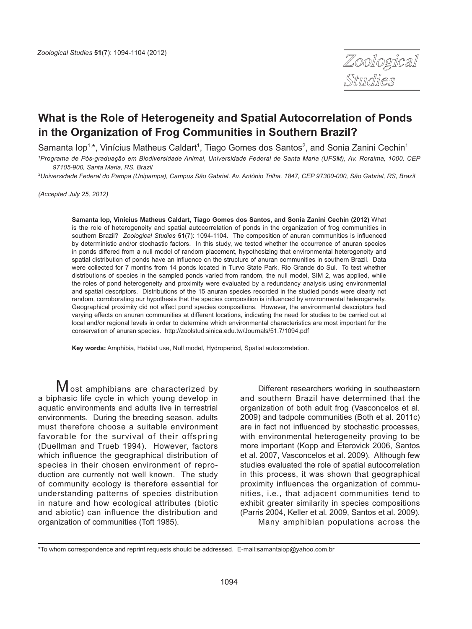

# **What is the Role of Heterogeneity and Spatial Autocorrelation of Ponds in the Organization of Frog Communities in Southern Brazil?**

Samanta Iop<sup>1,\*</sup>, Vinícius Matheus Caldart<sup>1</sup>, Tiago Gomes dos Santos<sup>2</sup>, and Sonia Zanini Cechin<sup>1</sup>

*1 Programa de Pós-graduação em Biodiversidade Animal, Universidade Federal de Santa Maria (UFSM), Av. Roraima, 1000, CEP 97105-900, Santa Maria, RS, Brazil*

*2 Universidade Federal do Pampa (Unipampa), Campus São Gabriel. Av. Antônio Trilha, 1847, CEP 97300-000, São Gabriel, RS, Brazil*

*(Accepted July 25, 2012)*

**Samanta Iop, Vinícius Matheus Caldart, Tiago Gomes dos Santos, and Sonia Zanini Cechin (2012)** What is the role of heterogeneity and spatial autocorrelation of ponds in the organization of frog communities in southern Brazil? *Zoological Studies* **51**(7): 1094-1104. The composition of anuran communities is influenced by deterministic and/or stochastic factors. In this study, we tested whether the occurrence of anuran species in ponds differed from a null model of random placement, hypothesizing that environmental heterogeneity and spatial distribution of ponds have an influence on the structure of anuran communities in southern Brazil. Data were collected for 7 months from 14 ponds located in Turvo State Park, Rio Grande do Sul. To test whether distributions of species in the sampled ponds varied from random, the null model, SIM 2, was applied, while the roles of pond heterogeneity and proximity were evaluated by a redundancy analysis using environmental and spatial descriptors. Distributions of the 15 anuran species recorded in the studied ponds were clearly not random, corroborating our hypothesis that the species composition is influenced by environmental heterogeneity. Geographical proximity did not affect pond species compositions. However, the environmental descriptors had varying effects on anuran communities at different locations, indicating the need for studies to be carried out at local and/or regional levels in order to determine which environmental characteristics are most important for the conservation of anuran species. http://zoolstud.sinica.edu.tw/Journals/51.7/1094.pdf

**Key words:** Amphibia, Habitat use, Null model, Hydroperiod, Spatial autocorrelation.

**Most amphibians are characterized by** a biphasic life cycle in which young develop in aquatic environments and adults live in terrestrial environments. During the breeding season, adults must therefore choose a suitable environment favorable for the survival of their offspring (Duellman and Trueb 1994). However, factors which influence the geographical distribution of species in their chosen environment of reproduction are currently not well known. The study of community ecology is therefore essential for understanding patterns of species distribution in nature and how ecological attributes (biotic and abiotic) can influence the distribution and organization of communities (Toft 1985).

Different researchers working in southeastern and southern Brazil have determined that the organization of both adult frog (Vasconcelos et al. 2009) and tadpole communities (Both et al. 2011c) are in fact not influenced by stochastic processes, with environmental heterogeneity proving to be more important (Kopp and Eterovick 2006, Santos et al. 2007, Vasconcelos et al. 2009). Although few studies evaluated the role of spatial autocorrelation in this process, it was shown that geographical proximity influences the organization of communities, i.e., that adjacent communities tend to exhibit greater similarity in species compositions (Parris 2004, Keller et al*.* 2009, Santos et al. 2009). Many amphibian populations across the

<sup>\*</sup>To whom correspondence and reprint requests should be addressed. E-mail:samantaiop@yahoo.com.br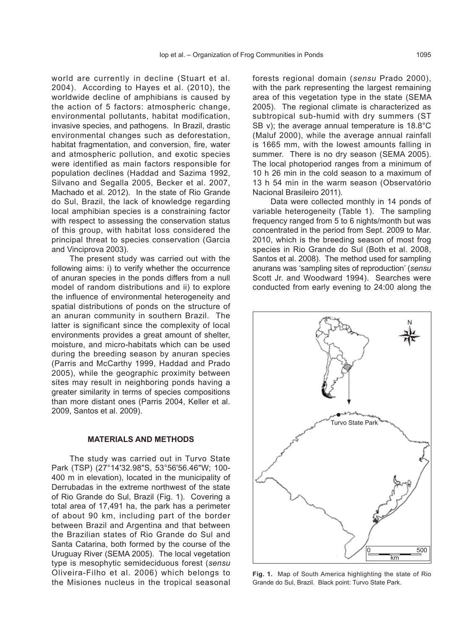world are currently in decline (Stuart et al*.* 2004). According to Hayes et al. (2010), the worldwide decline of amphibians is caused by the action of 5 factors: atmospheric change, environmental pollutants, habitat modification, invasive species, and pathogens. In Brazil, drastic environmental changes such as deforestation, habitat fragmentation, and conversion, fire, water and atmospheric pollution, and exotic species were identified as main factors responsible for population declines (Haddad and Sazima 1992, Silvano and Segalla 2005, Becker et al. 2007, Machado et al. 2012). In the state of Rio Grande do Sul, Brazil, the lack of knowledge regarding local amphibian species is a constraining factor with respect to assessing the conservation status of this group, with habitat loss considered the principal threat to species conservation (Garcia and Vinciprova 2003).

The present study was carried out with the following aims: i) to verify whether the occurrence of anuran species in the ponds differs from a null model of random distributions and ii) to explore the influence of environmental heterogeneity and spatial distributions of ponds on the structure of an anuran community in southern Brazil. The latter is significant since the complexity of local environments provides a great amount of shelter, moisture, and micro-habitats which can be used during the breeding season by anuran species (Parris and McCarthy 1999, Haddad and Prado 2005), while the geographic proximity between sites may result in neighboring ponds having a greater similarity in terms of species compositions than more distant ones (Parris 2004, Keller et al. 2009, Santos et al. 2009).

#### **MATERIALS AND METHODS**

The study was carried out in Turvo State Park (TSP) (27°14'32.98"S, 53°56'56.46"W; 100- 400 m in elevation), located in the municipality of Derrubadas in the extreme northwest of the state of Rio Grande do Sul, Brazil (Fig. 1). Covering a total area of 17,491 ha, the park has a perimeter of about 90 km, including part of the border between Brazil and Argentina and that between the Brazilian states of Rio Grande do Sul and Santa Catarina, both formed by the course of the Uruguay River (SEMA 2005). The local vegetation type is mesophytic semideciduous forest (*sensu* Oliveira-Filho et al. 2006) which belongs to the Misiones nucleus in the tropical seasonal

forests regional domain (*sensu* Prado 2000), with the park representing the largest remaining area of this vegetation type in the state (SEMA 2005). The regional climate is characterized as subtropical sub-humid with dry summers (ST SB v); the average annual temperature is 18.8°C (Maluf 2000), while the average annual rainfall is 1665 mm, with the lowest amounts falling in summer. There is no dry season (SEMA 2005). The local photoperiod ranges from a minimum of 10 h 26 min in the cold season to a maximum of 13 h 54 min in the warm season (Observatório Nacional Brasileiro 2011).

Data were collected monthly in 14 ponds of variable heterogeneity (Table 1). The sampling frequency ranged from 5 to 6 nights/month but was concentrated in the period from Sept. 2009 to Mar. 2010, which is the breeding season of most frog species in Rio Grande do Sul (Both et al. 2008, Santos et al. 2008). The method used for sampling anurans was 'sampling sites of reproduction' (*sensu* Scott Jr. and Woodward 1994). Searches were conducted from early evening to 24:00 along the



**Fig. 1.** Map of South America highlighting the state of Rio Grande do Sul, Brazil. Black point: Turvo State Park.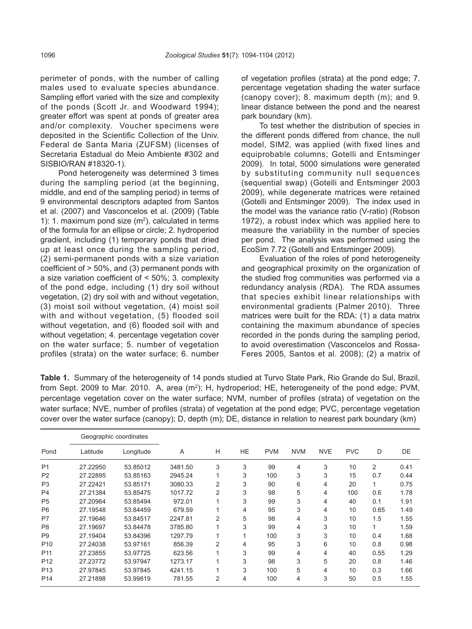perimeter of ponds, with the number of calling males used to evaluate species abundance. Sampling effort varied with the size and complexity of the ponds (Scott Jr. and Woodward 1994); greater effort was spent at ponds of greater area and/or complexity. Voucher specimens were deposited in the Scientific Collection of the Univ. Federal de Santa Maria (ZUFSM) (licenses of Secretaria Estadual do Meio Ambiente #302 and SISBIO/RAN #18320-1).

Pond heterogeneity was determined 3 times during the sampling period (at the beginning, middle, and end of the sampling period) in terms of 9 environmental descriptors adapted from Santos et al. (2007) and Vasconcelos et al. (2009) (Table 1): 1. maximum pond size  $(m<sup>2</sup>)$ , calculated in terms of the formula for an ellipse or circle; 2. hydroperiod gradient, including (1) temporary ponds that dried up at least once during the sampling period, (2) semi-permanent ponds with a size variation coefficient of > 50%, and (3) permanent ponds with a size variation coefficient of < 50%; 3. complexity of the pond edge, including (1) dry soil without vegetation, (2) dry soil with and without vegetation, (3) moist soil without vegetation, (4) moist soil with and without vegetation, (5) flooded soil without vegetation, and (6) flooded soil with and without vegetation; 4. percentage vegetation cover on the water surface; 5. number of vegetation profiles (strata) on the water surface; 6. number

of vegetation profiles (strata) at the pond edge; 7. percentage vegetation shading the water surface (canopy cover); 8. maximum depth (m); and 9. linear distance between the pond and the nearest park boundary (km).

To test whether the distribution of species in the different ponds differed from chance, the null model, SIM2, was applied (with fixed lines and equiprobable columns; Gotelli and Entsminger 2009). In total, 5000 simulations were generated by substituting community null sequences (sequential swap) (Gotelli and Entsminger 2003 2009), while degenerate matrices were retained (Gotelli and Entsminger 2009). The index used in the model was the variance ratio (V-ratio) (Robson 1972), a robust index which was applied here to measure the variability in the number of species per pond. The analysis was performed using the EcoSim 7.72 (Gotelli and Entsminger 2009).

Evaluation of the roles of pond heterogeneity and geographical proximity on the organization of the studied frog communities was performed via a redundancy analysis (RDA). The RDA assumes that species exhibit linear relationships with environmental gradients (Palmer 2010). Three matrices were built for the RDA: (1) a data matrix containing the maximum abundance of species recorded in the ponds during the sampling period, to avoid overestimation (Vasconcelos and Rossa-Feres 2005, Santos et al. 2008); (2) a matrix of

**Table 1.** Summary of the heterogeneity of 14 ponds studied at Turvo State Park, Rio Grande do Sul, Brazil, from Sept. 2009 to Mar. 2010. A, area (m<sup>2</sup>); H, hydroperiod; HE, heterogeneity of the pond edge; PVM, percentage vegetation cover on the water surface; NVM, number of profiles (strata) of vegetation on the water surface; NVE, number of profiles (strata) of vegetation at the pond edge; PVC, percentage vegetation cover over the water surface (canopy); D, depth (m); DE, distance in relation to nearest park boundary (km)

|                 |          | Geographic coordinates |         |                |     |            |            |            |            |              |      |  |  |  |
|-----------------|----------|------------------------|---------|----------------|-----|------------|------------|------------|------------|--------------|------|--|--|--|
| Pond            | Latitude | Longitude              | A       | н              | HE. | <b>PVM</b> | <b>NVM</b> | <b>NVE</b> | <b>PVC</b> | D            | DE   |  |  |  |
| P <sub>1</sub>  | 27.22950 | 53.85012               | 3481.50 | 3              | 3   | 99         | 4          | 3          | 10         | 2            | 0.41 |  |  |  |
| P <sub>2</sub>  | 27.22895 | 53.85163               | 2945.24 |                | 3   | 100        | 3          | 3          | 15         | 0.7          | 0.44 |  |  |  |
| P <sub>3</sub>  | 27.22421 | 53.85171               | 3080.33 | $\overline{2}$ | 3   | 90         | 6          | 4          | 20         | $\mathbf{1}$ | 0.75 |  |  |  |
| P <sub>4</sub>  | 27.21384 | 53.85475               | 1017.72 | $\overline{2}$ | 3   | 98         | 5          | 4          | 100        | 0.6          | 1.78 |  |  |  |
| P <sub>5</sub>  | 27.20964 | 53.85494               | 972.01  |                | 3   | 99         | 3          | 4          | 40         | 0.1          | 1.91 |  |  |  |
| P <sub>6</sub>  | 27.19548 | 53.84459               | 679.59  |                | 4   | 95         | 3          | 4          | 10         | 0.65         | 1.49 |  |  |  |
| P7              | 27.19646 | 53.84517               | 2247.81 | 2              | 5   | 98         | 4          | 3          | 10         | 1.5          | 1.55 |  |  |  |
| P <sub>8</sub>  | 27.19697 | 53.84478               | 3785.80 |                | 3   | 99         | 4          | 3          | 10         | $\mathbf{1}$ | 1.59 |  |  |  |
| P <sub>9</sub>  | 27.19404 | 53.84396               | 1297.79 |                |     | 100        | 3          | 3          | 10         | 0.4          | 1.68 |  |  |  |
| P <sub>10</sub> | 27.24038 | 53.97161               | 856.39  | 2              | 4   | 95         | 3          | 6          | 10         | 0.8          | 0.98 |  |  |  |
| P <sub>11</sub> | 27.23855 | 53.97725               | 623.56  |                | 3   | 99         | 4          | 4          | 40         | 0.55         | 1.29 |  |  |  |
| P <sub>12</sub> | 27.23772 | 53.97947               | 1273.17 |                | 3   | 98         | 3          | 5          | 20         | 0.8          | 1.46 |  |  |  |
| P <sub>13</sub> | 27.97845 | 53.97845               | 4241.15 |                | 3   | 100        | 5          | 4          | 10         | 0.3          | 1.66 |  |  |  |
| P <sub>14</sub> | 27.21898 | 53.99819               | 781.55  | 2              | 4   | 100        | 4          | 3          | 50         | 0.5          | 1.55 |  |  |  |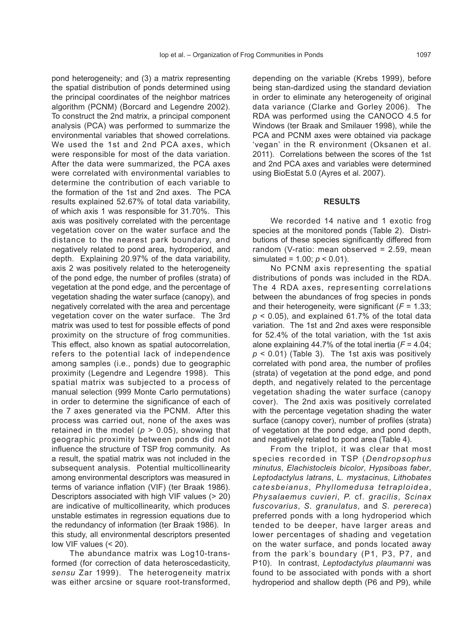pond heterogeneity; and (3) a matrix representing the spatial distribution of ponds determined using the principal coordinates of the neighbor matrices algorithm (PCNM) (Borcard and Legendre 2002). To construct the 2nd matrix, a principal component analysis (PCA) was performed to summarize the environmental variables that showed correlations. We used the 1st and 2nd PCA axes, which were responsible for most of the data variation. After the data were summarized, the PCA axes were correlated with environmental variables to determine the contribution of each variable to the formation of the 1st and 2nd axes. The PCA results explained 52.67% of total data variability, of which axis 1 was responsible for 31.70%. This axis was positively correlated with the percentage vegetation cover on the water surface and the distance to the nearest park boundary, and negatively related to pond area, hydroperiod, and depth. Explaining 20.97% of the data variability, axis 2 was positively related to the heterogeneity of the pond edge, the number of profiles (strata) of vegetation at the pond edge, and the percentage of vegetation shading the water surface (canopy), and negatively correlated with the area and percentage vegetation cover on the water surface. The 3rd matrix was used to test for possible effects of pond proximity on the structure of frog communities. This effect, also known as spatial autocorrelation, refers to the potential lack of independence among samples (i.e., ponds) due to geographic proximity (Legendre and Legendre 1998). This spatial matrix was subjected to a process of manual selection (999 Monte Carlo permutations) in order to determine the significance of each of the 7 axes generated via the PCNM. After this process was carried out, none of the axes was retained in the model ( $p > 0.05$ ), showing that geographic proximity between ponds did not influence the structure of TSP frog community. As a result, the spatial matrix was not included in the subsequent analysis. Potential multicollinearity among environmental descriptors was measured in terms of variance inflation (VIF) (ter Braak 1986). Descriptors associated with high VIF values (> 20) are indicative of multicollinearity, which produces unstable estimates in regression equations due to the redundancy of information (ter Braak 1986). In this study, all environmental descriptors presented low VIF values (< 20).

The abundance matrix was Log10-transformed (for correction of data heteroscedasticity, *sensu* Zar 1999). The heterogeneity matrix was either arcsine or square root-transformed,

depending on the variable (Krebs 1999), before being stan-dardized using the standard deviation in order to eliminate any heterogeneity of original data variance (Clarke and Gorley 2006). The RDA was performed using the CANOCO 4.5 for Windows (ter Braak and Smilauer 1998), while the PCA and PCNM axes were obtained via package ʻvegan' in the R environment (Oksanen et al. 2011). Correlations between the scores of the 1st and 2nd PCA axes and variables were determined using BioEstat 5.0 (Ayres et al. 2007).

### **RESULTS**

We recorded 14 native and 1 exotic frog species at the monitored ponds (Table 2). Distributions of these species significantly differed from random (V-ratio: mean observed = 2.59, mean simulated = 1.00; *p* < 0.01).

No PCNM axis representing the spatial distributions of ponds was included in the RDA. The 4 RDA axes, representing correlations between the abundances of frog species in ponds and their heterogeneity, were significant (*F* = 1.33;  $p$  < 0.05), and explained 61.7% of the total data variation. The 1st and 2nd axes were responsible for 52.4% of the total variation, with the 1st axis alone explaining 44.7% of the total inertia (*F* = 4.04;  $p$  < 0.01) (Table 3). The 1st axis was positively correlated with pond area, the number of profiles (strata) of vegetation at the pond edge, and pond depth, and negatively related to the percentage vegetation shading the water surface (canopy cover). The 2nd axis was positively correlated with the percentage vegetation shading the water surface (canopy cover), number of profiles (strata) of vegetation at the pond edge, and pond depth, and negatively related to pond area (Table 4).

From the triplot, it was clear that most species recorded in TSP (*Dendropsophus minutus*, *Elachistocleis bicolor*, *Hypsiboas faber*, *Leptodactylus latrans*, *L. mystacinus*, *Lithobates catesbeianus*, *Phyllomedusa tetraploidea*, *Physalaemus cuvieri*, *P.* cf*. gracilis*, *Scinax fuscovarius*, *S. granulatus*, and *S. perereca*) preferred ponds with a long hydroperiod which tended to be deeper, have larger areas and lower percentages of shading and vegetation on the water surface, and ponds located away from the park's boundary (P1, P3, P7, and P10). In contrast, *Leptodactylus plaumanni* was found to be associated with ponds with a short hydroperiod and shallow depth (P6 and P9), while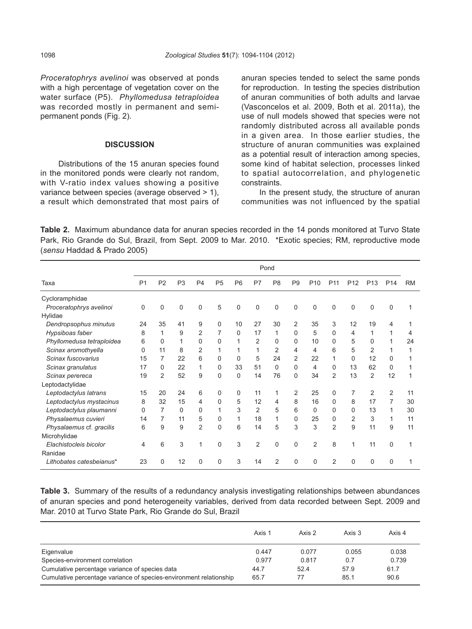*Proceratophrys avelinoi* was observed at ponds with a high percentage of vegetation cover on the water surface (P5). *Phyllomedusa tetraploidea*  was recorded mostly in permanent and semipermanent ponds (Fig. 2).

### **DISCUSSION**

Distributions of the 15 anuran species found in the monitored ponds were clearly not random, with V-ratio index values showing a positive variance between species (average observed > 1), a result which demonstrated that most pairs of anuran species tended to select the same ponds for reproduction. In testing the species distribution of anuran communities of both adults and larvae (Vasconcelos et al. 2009, Both et al. 2011a), the use of null models showed that species were not randomly distributed across all available ponds in a given area. In those earlier studies, the structure of anuran communities was explained as a potential result of interaction among species, some kind of habitat selection, processes linked to spatial autocorrelation, and phylogenetic constraints.

In the present study, the structure of anuran communities was not influenced by the spatial

**Table 2.** Maximum abundance data for anuran species recorded in the 14 ponds monitored at Turvo State Park, Rio Grande do Sul, Brazil, from Sept. 2009 to Mar. 2010. \*Exotic species; RM, reproductive mode (*sensu* Haddad & Prado 2005)

|                           | Pond           |                |                |                |                |                |                |                |                |                 |                 |                 |                 |                 |           |
|---------------------------|----------------|----------------|----------------|----------------|----------------|----------------|----------------|----------------|----------------|-----------------|-----------------|-----------------|-----------------|-----------------|-----------|
| Taxa                      | P <sub>1</sub> | P <sub>2</sub> | P <sub>3</sub> | P <sub>4</sub> | P <sub>5</sub> | P <sub>6</sub> | P7             | P <sub>8</sub> | P <sub>9</sub> | P <sub>10</sub> | P <sub>11</sub> | P <sub>12</sub> | P <sub>13</sub> | P <sub>14</sub> | <b>RM</b> |
| Cycloramphidae            |                |                |                |                |                |                |                |                |                |                 |                 |                 |                 |                 |           |
| Proceratophrys avelinoi   | $\Omega$       | 0              | $\Omega$       | $\Omega$       | 5              | 0              | $\Omega$       | $\Omega$       | 0              | 0               | 0               | 0               | 0               | 0               |           |
| Hylidae                   |                |                |                |                |                |                |                |                |                |                 |                 |                 |                 |                 |           |
| Dendropsophus minutus     | 24             | 35             | 41             | 9              | $\Omega$       | 10             | 27             | 30             | 2              | 35              | 3               | 12              | 19              | 4               |           |
| Hypsiboas faber           | 8              | 1              | 9              | $\overline{2}$ |                | $\Omega$       | 17             | 1              | 0              | 5               | 0               | 4               |                 |                 | 4         |
| Phyllomedusa tetraploidea | 6              | 0              |                | $\Omega$       | $\Omega$       |                | 2              | 0              | 0              | 10              | 0               | 5               | $\Omega$        |                 | 24        |
| Scinax aromothyella       | $\mathbf{0}$   | 11             | 8              | $\overline{2}$ |                |                |                | $\overline{2}$ | 4              | 4               | 6               | 5               | $\overline{2}$  |                 |           |
| Scinax fuscovarius        | 15             | 7              | 22             | 6              | $\Omega$       | 0              | 5              | 24             | $\overline{2}$ | 22              | 1               | 0               | 12              | 0               |           |
| Scinax granulatus         | 17             | 0              | 22             | 1              | $\Omega$       | 33             | 51             | 0              | 0              | 4               | 0               | 13              | 62              | 0               |           |
| Scinax perereca           | 19             | $\overline{2}$ | 52             | 9              | $\Omega$       | 0              | 14             | 76             | 0              | 34              | 2               | 13              | 2               | 12              |           |
| Leptodactylidae           |                |                |                |                |                |                |                |                |                |                 |                 |                 |                 |                 |           |
| Leptodactylus latrans     | 15             | 20             | 24             | 6              | $\Omega$       | 0              | 11             | 1              | 2              | 25              | 0               | 7               | $\overline{2}$  | $\overline{2}$  | 11        |
| Leptodactylus mystacinus  | 8              | 32             | 15             | 4              | $\Omega$       | 5              | 12             | 4              | 8              | 16              | 0               | 8               | 17              | 7               | 30        |
| Leptodactylus plaumanni   | $\mathbf 0$    | 7              | $\Omega$       | 0              |                | 3              | $\overline{2}$ | 5              | 6              | 0               | 0               | 0               | 13              |                 | 30        |
| Physalaemus cuvieri       | 14             | 7              | 11             | 5              | $\Omega$       | 1              | 18             | 1              | 0              | 25              | 0               | 2               | 3               |                 | 11        |
| Physalaemus cf. gracilis  | 6              | 9              | 9              | 2              | $\Omega$       | 6              | 14             | 5              | 3              | 3               | $\overline{2}$  | 9               | 11              | 9               | 11        |
| Microhylidae              |                |                |                |                |                |                |                |                |                |                 |                 |                 |                 |                 |           |
| Elachistocleis bicolor    | 4              | 6              | 3              | 1              | $\Omega$       | 3              | $\overline{2}$ | 0              | 0              | $\overline{2}$  | 8               | $\overline{1}$  | 11              | 0               |           |
| Ranidae                   |                |                |                |                |                |                |                |                |                |                 |                 |                 |                 |                 |           |
| Lithobates catesbeianus*  | 23             | 0              | 12             | $\mathbf{0}$   | $\Omega$       | 3              | 14             | $\overline{2}$ | 0              | 0               | $\overline{2}$  | $\Omega$        | 0               | $\Omega$        |           |

**Table 3.** Summary of the results of a redundancy analysis investigating relationships between abundances of anuran species and pond heterogeneity variables, derived from data recorded between Sept. 2009 and Mar. 2010 at Turvo State Park, Rio Grande do Sul, Brazil

|                                                                    | Axis 1 | Axis 2 | Axis 3 | Axis 4 |
|--------------------------------------------------------------------|--------|--------|--------|--------|
| Eigenvalue                                                         | 0.447  | 0.077  | 0.055  | 0.038  |
| Species-environment correlation                                    | 0.977  | 0.817  | 0.7    | 0.739  |
| Cumulative percentage variance of species data                     | 44.7   | 52.4   | 57.9   | 61.7   |
| Cumulative percentage variance of species-environment relationship | 65.7   | 77     | 85.1   | 90.6   |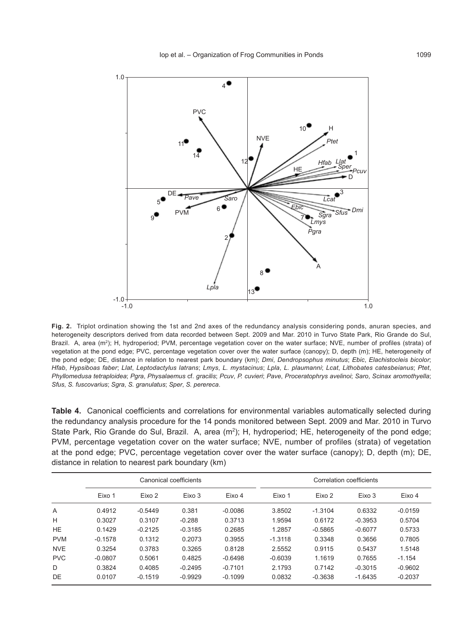

**Fig. 2.** Triplot ordination showing the 1st and 2nd axes of the redundancy analysis considering ponds, anuran species, and heterogeneity descriptors derived from data recorded between Sept. 2009 and Mar. 2010 in Turvo State Park, Rio Grande do Sul, Brazil. A, area (m<sup>2</sup>); H, hydroperiod; PVM, percentage vegetation cover on the water surface; NVE, number of profiles (strata) of vegetation at the pond edge; PVC, percentage vegetation cover over the water surface (canopy); D, depth (m); HE, heterogeneity of the pond edge; DE, distance in relation to nearest park boundary (km); *Dmi*, *Dendropsophus minutus*; *Ebic*, *Elachistocleis bicolor*; *Hfab*, *Hypsiboas faber*; *Llat*, *Leptodactylus latrans*; *Lmys*, *L. mystacinus*; *Lpla*, *L. plaumanni*; *Lcat*, *Lithobates catesbeianus*; *Ptet*, *Phyllomedusa tetraploidea*; *Pgra*, *Physalaemus* cf. *gracilis*; *Pcuv*, *P. cuvieri*; *Pave*, *Proceratophrys avelinoi*; *Saro*, *Scinax aromothyella*; *Sfus*, *S. fuscovarius*; *Sgra*, *S. granulatus*; *Sper*, *S. perereca*.

**Table 4.** Canonical coefficients and correlations for environmental variables automatically selected during the redundancy analysis procedure for the 14 ponds monitored between Sept. 2009 and Mar. 2010 in Turvo State Park, Rio Grande do Sul, Brazil. A, area (m<sup>2</sup>); H, hydroperiod; HE, heterogeneity of the pond edge; PVM, percentage vegetation cover on the water surface; NVE, number of profiles (strata) of vegetation at the pond edge; PVC, percentage vegetation cover over the water surface (canopy); D, depth (m); DE, distance in relation to nearest park boundary (km)

|            |           |           | Canonical coefficients |           | Correlation coefficients |           |           |           |  |  |  |
|------------|-----------|-----------|------------------------|-----------|--------------------------|-----------|-----------|-----------|--|--|--|
|            | Eixo 1    | Eixo 2    | Eixo 3                 | Eixo 4    | Eixo 1                   | Eixo 2    | Eixo 3    | Eixo 4    |  |  |  |
| A          | 0.4912    | $-0.5449$ | 0.381                  | $-0.0086$ | 3.8502                   | $-1.3104$ | 0.6332    | $-0.0159$ |  |  |  |
| H          | 0.3027    | 0.3107    | $-0.288$               | 0.3713    | 1.9594                   | 0.6172    | $-0.3953$ | 0.5704    |  |  |  |
| <b>HE</b>  | 0.1429    | $-0.2125$ | $-0.3185$              | 0.2685    | 1.2857                   | $-0.5865$ | $-0.6077$ | 0.5733    |  |  |  |
| <b>PVM</b> | $-0.1578$ | 0.1312    | 0.2073                 | 0.3955    | $-1.3118$                | 0.3348    | 0.3656    | 0.7805    |  |  |  |
| <b>NVE</b> | 0.3254    | 0.3783    | 0.3265                 | 0.8128    | 2.5552                   | 0.9115    | 0.5437    | 1.5148    |  |  |  |
| <b>PVC</b> | $-0.0807$ | 0.5061    | 0.4825                 | $-0.6498$ | $-0.6039$                | 1.1619    | 0.7655    | $-1.154$  |  |  |  |
| D          | 0.3824    | 0.4085    | $-0.2495$              | $-0.7101$ | 2.1793                   | 0.7142    | $-0.3015$ | $-0.9602$ |  |  |  |
| DE         | 0.0107    | $-0.1519$ | $-0.9929$              | $-0.1099$ | 0.0832                   | $-0.3638$ | $-1.6435$ | $-0.2037$ |  |  |  |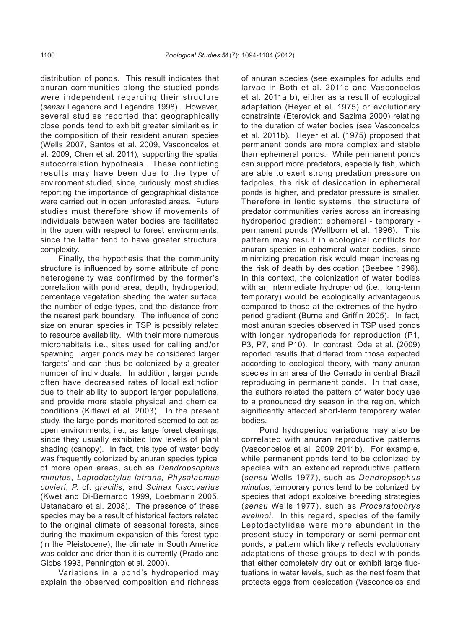distribution of ponds. This result indicates that anuran communities along the studied ponds were independent regarding their structure (*sensu* Legendre and Legendre 1998). However, several studies reported that geographically close ponds tend to exhibit greater similarities in the composition of their resident anuran species (Wells 2007, Santos et al. 2009, Vasconcelos et al. 2009, Chen et al. 2011), supporting the spatial autocorrelation hypothesis. These conflicting results may have been due to the type of environment studied, since, curiously, most studies reporting the importance of geographical distance were carried out in open unforested areas. Future studies must therefore show if movements of individuals between water bodies are facilitated in the open with respect to forest environments, since the latter tend to have greater structural complexity.

Finally, the hypothesis that the community structure is influenced by some attribute of pond heterogeneity was confirmed by the former's correlation with pond area, depth, hydroperiod, percentage vegetation shading the water surface, the number of edge types, and the distance from the nearest park boundary. The influence of pond size on anuran species in TSP is possibly related to resource availability. With their more numerous microhabitats i.e., sites used for calling and/or spawning, larger ponds may be considered larger 'targets' and can thus be colonized by a greater number of individuals. In addition, larger ponds often have decreased rates of local extinction due to their ability to support larger populations, and provide more stable physical and chemical conditions (Kiflawi et al. 2003). In the present study, the large ponds monitored seemed to act as open environments, i.e., as large forest clearings, since they usually exhibited low levels of plant shading (canopy). In fact, this type of water body was frequently colonized by anuran species typical of more open areas, such as *Dendropsophus minutus*, *Leptodactylus latrans*, *Physalaemus cuvieri*, *P.* cf. *gracilis*, and *Scinax fuscovarius*  (Kwet and Di-Bernardo 1999, Loebmann 2005, Uetanabaro et al. 2008). The presence of these species may be a result of historical factors related to the original climate of seasonal forests, since during the maximum expansion of this forest type (in the Pleistocene), the climate in South America was colder and drier than it is currently (Prado and Gibbs 1993, Pennington et al. 2000).

Variations in a pond's hydroperiod may explain the observed composition and richness

of anuran species (see examples for adults and larvae in Both et al*.* 2011a and Vasconcelos et al. 2011a b), either as a result of ecological adaptation (Heyer et al. 1975) or evolutionary constraints (Eterovick and Sazima 2000) relating to the duration of water bodies (see Vasconcelos et al. 2011b). Heyer et al. (1975) proposed that permanent ponds are more complex and stable than ephemeral ponds. While permanent ponds can support more predators, especially fish, which are able to exert strong predation pressure on tadpoles, the risk of desiccation in ephemeral ponds is higher, and predator pressure is smaller. Therefore in lentic systems, the structure of predator communities varies across an increasing hydroperiod gradient: ephemeral - temporary permanent ponds (Wellborn et al. 1996). This pattern may result in ecological conflicts for anuran species in ephemeral water bodies, since minimizing predation risk would mean increasing the risk of death by desiccation (Beebee 1996). In this context, the colonization of water bodies with an intermediate hydroperiod (i.e., long-term temporary) would be ecologically advantageous compared to those at the extremes of the hydroperiod gradient (Burne and Griffin 2005). In fact, most anuran species observed in TSP used ponds with longer hydroperiods for reproduction (P1, P3, P7, and P10). In contrast, Oda et al. (2009) reported results that differed from those expected according to ecological theory, with many anuran species in an area of the Cerrado in central Brazil reproducing in permanent ponds. In that case, the authors related the pattern of water body use to a pronounced dry season in the region, which significantly affected short-term temporary water bodies.

Pond hydroperiod variations may also be correlated with anuran reproductive patterns (Vasconcelos et al*.* 2009 2011b). For example, while permanent ponds tend to be colonized by species with an extended reproductive pattern (*sensu* Wells 1977), such as *Dendropsophus minutus*, temporary ponds tend to be colonized by species that adopt explosive breeding strategies (*sensu* Wells 1977), such as *Proceratophrys avelinoi*. In this regard, species of the family Leptodactylidae were more abundant in the present study in temporary or semi-permanent ponds, a pattern which likely reflects evolutionary adaptations of these groups to deal with ponds that either completely dry out or exhibit large fluctuations in water levels, such as the nest foam that protects eggs from desiccation (Vasconcelos and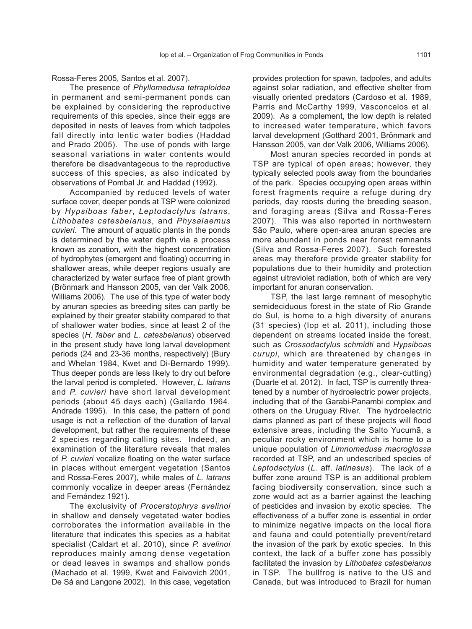Rossa-Feres 2005, Santos et al. 2007).

The presence of *Phyllomedusa tetraploidea*  in permanent and semi-permanent ponds can be explained by considering the reproductive requirements of this species, since their eggs are deposited in nests of leaves from which tadpoles fall directly into lentic water bodies (Haddad and Prado 2005). The use of ponds with large seasonal variations in water contents would therefore be disadvantageous to the reproductive success of this species, as also indicated by observations of Pombal Jr. and Haddad (1992).

Accompanied by reduced levels of water surface cover, deeper ponds at TSP were colonized by *Hypsiboas faber*, *Leptodactylus latrans*, *Lithobates catesbeianus*, and *Physalaemus cuvieri*. The amount of aquatic plants in the ponds is determined by the water depth via a process known as zonation, with the highest concentration of hydrophytes (emergent and floating) occurring in shallower areas, while deeper regions usually are characterized by water surface free of plant growth (Brönmark and Hansson 2005, van der Valk 2006, Williams 2006). The use of this type of water body by anuran species as breeding sites can partly be explained by their greater stability compared to that of shallower water bodies, since at least 2 of the species (*H. faber* and *L. catesbeianus*) observed in the present study have long larval development periods (24 and 23-36 months, respectively) (Bury and Whelan 1984, Kwet and Di-Bernardo 1999). Thus deeper ponds are less likely to dry out before the larval period is completed. However, *L. latrans*  and *P. cuvieri* have short larval development periods (about 45 days each) (Gallardo 1964, Andrade 1995). In this case, the pattern of pond usage is not a reflection of the duration of larval development, but rather the requirements of these 2 species regarding calling sites. Indeed, an examination of the literature reveals that males of *P. cuvieri* vocalize floating on the water surface in places without emergent vegetation (Santos and Rossa-Feres 2007), while males of *L. latrans* commonly vocalize in deeper areas (Fernández and Fernández 1921).

The exclusivity of *Proceratophrys avelinoi*  in shallow and densely vegetated water bodies corroborates the information available in the literature that indicates this species as a habitat specialist (Caldart et al. 2010), since *P. avelinoi*  reproduces mainly among dense vegetation or dead leaves in swamps and shallow ponds (Machado et al. 1999, Kwet and Faivovich 2001, De Sá and Langone 2002). In this case, vegetation

provides protection for spawn, tadpoles, and adults against solar radiation, and effective shelter from visually oriented predators (Cardoso et al*.* 1989, Parris and McCarthy 1999, Vasconcelos et al. 2009). As a complement, the low depth is related to increased water temperature, which favors larval development (Gotthard 2001, Brönmark and Hansson 2005, van der Valk 2006, Williams 2006).

Most anuran species recorded in ponds at TSP are typical of open areas; however, they typically selected pools away from the boundaries of the park. Species occupying open areas within forest fragments require a refuge during dry periods, day roosts during the breeding season, and foraging areas (Silva and Rossa-Feres 2007). This was also reported in northwestern São Paulo, where open-area anuran species are more abundant in ponds near forest remnants (Silva and Rossa-Feres 2007). Such forested areas may therefore provide greater stability for populations due to their humidity and protection against ultraviolet radiation, both of which are very important for anuran conservation.

TSP, the last large remnant of mesophytic semideciduous forest in the state of Rio Grande do Sul, is home to a high diversity of anurans (31 species) (Iop et al*.* 2011), including those dependent on streams located inside the forest, such as *Crossodactylus schmidti* and *Hypsiboas curupi*, which are threatened by changes in humidity and water temperature generated by environmental degradation (e.g., clear-cutting) (Duarte et al. 2012). In fact, TSP is currently threatened by a number of hydroelectric power projects, including that of the Garabi-Panambi complex and others on the Uruguay River. The hydroelectric dams planned as part of these projects will flood extensive areas, including the Salto Yucumã, a peculiar rocky environment which is home to a unique population of *Limnomedusa macroglossa*  recorded at TSP, and an undescribed species of *Leptodactylus* (*L.* aff. *latinasus*). The lack of a buffer zone around TSP is an additional problem facing biodiversity conservation, since such a zone would act as a barrier against the leaching of pesticides and invasion by exotic species. The effectiveness of a buffer zone is essential in order to minimize negative impacts on the local flora and fauna and could potentially prevent/retard the invasion of the park by exotic species. In this context, the lack of a buffer zone has possibly facilitated the invasion by *Lithobates catesbeianus* in TSP. The bullfrog is native to the US and Canada, but was introduced to Brazil for human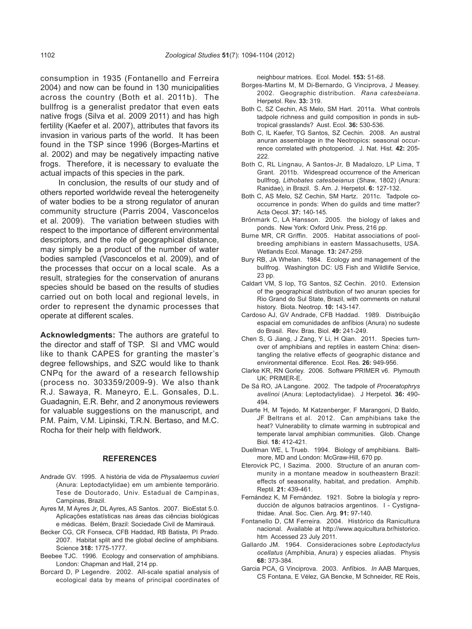consumption in 1935 (Fontanello and Ferreira 2004) and now can be found in 130 municipalities across the country (Both et al. 2011b). The bullfrog is a generalist predator that even eats native frogs (Silva et al. 2009 2011) and has high fertility (Kaefer et al. 2007), attributes that favors its invasion in various parts of the world. It has been found in the TSP since 1996 (Borges-Martins et al. 2002) and may be negatively impacting native frogs. Therefore, it is necessary to evaluate the actual impacts of this species in the park.

In conclusion, the results of our study and of others reported worldwide reveal the heterogeneity of water bodies to be a strong regulator of anuran community structure (Parris 2004, Vasconcelos et al*.* 2009). The variation between studies with respect to the importance of different environmental descriptors, and the role of geographical distance, may simply be a product of the number of water bodies sampled (Vasconcelos et al. 2009), and of the processes that occur on a local scale. As a result, strategies for the conservation of anurans species should be based on the results of studies carried out on both local and regional levels, in order to represent the dynamic processes that operate at different scales.

**Acknowledgments:** The authors are grateful to the director and staff of TSP. SI and VMC would like to thank CAPES for granting the master's degree fellowships, and SZC would like to thank CNPq for the award of a research fellowship (process no. 303359/2009-9). We also thank R.J. Sawaya, R. Maneyro, E.L. Gonsales, D.L. Guadagnin, E.R. Behr, and 2 anonymous reviewers for valuable suggestions on the manuscript, and P.M. Paim, V.M. Lipinski, T.R.N. Bertaso, and M.C. Rocha for their help with fieldwork.

## **REFERENCES**

- Andrade GV. 1995. A história de vida de *Physalaemus cuvieri*  (Anura: Leptodactylidae) em um ambiente temporário. Tese de Doutorado, Univ. Estadual de Campinas, Campinas, Brazil.
- Ayres M, M Ayres Jr, DL Ayres, AS Santos. 2007. BioEstat 5.0. Aplicações estatísticas nas áreas das ciências biológicas e médicas. Belém, Brazil: Sociedade Civil de Mamirauá.
- Becker CG, CR Fonseca, CFB Haddad, RB Batista, PI Prado. 2007. Habitat split and the global decline of amphibians. Science **318:** 1775-1777.
- Beebee TJC. 1996. Ecology and conservation of amphibians. London: Chapman and Hall, 214 pp.
- Borcard D, P Legendre. 2002. All-scale spatial analysis of ecological data by means of principal coordinates of

neighbour matrices. Ecol. Model*.* **153:** 51-68.

- Borges-Martins M, M Di-Bernardo, G Vinciprova, J Measey. 2002. Geographic distribution. *Rana catesbeiana*. Herpetol. Rev. **33:** 319.
- Both C, SZ Cechin, AS Melo, SM Hart. 2011a. What controls tadpole richness and guild composition in ponds in subtropical grasslands? Aust. Ecol. **36:** 530-536.
- Both C, IL Kaefer, TG Santos, SZ Cechin. 2008. An austral anuran assemblage in the Neotropics: seasonal occurrence correlated with photoperiod. J. Nat. Hist*.* **42:** 205- 222.
- Both C, RL Lingnau, A Santos-Jr, B Madalozo, LP Lima, T Grant. 2011b. Widespread occurrence of the American bullfrog, *Lithobates catesbeianus* (Shaw, 1802) (Anura: Ranidae), in Brazil. S. Am. J. Herpetol. **6:** 127-132.
- Both C, AS Melo, SZ Cechin, SM Hartz. 2011c. Tadpole cooccurrence in ponds: When do guilds and time matter? Acta Oecol. **37:** 140-145.
- Brönmark C, LA Hansson. 2005. the biology of lakes and ponds. New York: Oxford Univ. Press, 216 pp.
- Burne MR, CR Griffin. 2005. Habitat associations of poolbreeding amphibians in eastern Massachusetts, USA. Wetlands Ecol. Manage*.* **13:** 247-259.
- Bury RB, JA Whelan. 1984. Ecology and management of the bullfrog. Washington DC: US Fish and Wildlife Service, 23 pp.
- Caldart VM, S Iop, TG Santos, SZ Cechin. 2010. Extension of the geographical distribution of two anuran species for Rio Grand do Sul State, Brazil, with comments on natural history. Biota. Neotrop. **10:** 143-147.
- Cardoso AJ, GV Andrade, CFB Haddad. 1989. Distribuição espacial em comunidades de anfíbios (Anura) no sudeste do Brasil. Rev. Bras. Biol*.* **49:** 241-249.
- Chen S, G Jiang, J Zang, Y Li, H Qian. 2011. Species turnover of amphibians and reptiles in eastern China: disentangling the relative effects of geographic distance and environmental difference. Ecol. Res*.* **26:** 949-956.
- Clarke KR, RN Gorley. 2006. Software PRIMER v6. Plymouth UK: PRIMER-E.
- De Sá RO, JA Langone. 2002. The tadpole of *Proceratophrys avelinoi* (Anura: Leptodactylidae). J Herpetol*.* **36:** 490- 494.
- Duarte H, M Tejedo, M Katzenberger, F Marangoni, D Baldo, JF Beltrans et al. 2012. Can amphibians take the heat? Vulnerability to climate warming in subtropical and temperate larval amphibian communities. Glob. Change Biol. **18:** 412-421.
- Duellman WE, L Trueb. 1994. Biology of amphibians. Baltimore, MD and London: McGraw-Hill, 670 pp.
- Eterovick PC, I Sazima. 2000. Structure of an anuran community in a montane meadow in southeastern Brazil: effects of seasonality, habitat, and predation. Amphib. Reptil*.* **21:** 439-461.
- Fernández K, M Fernández. 1921. Sobre la biología y reproducción de algunos batracios argentinos. I - Cystignathidae. Anal. Soc. Cien. Arg*.* **91:** 97-140.
- Fontanello D, CM Ferreira. 2004. Histórico da Ranicultura nacional. Available at http://www.aquicultura.br/historico. htm Accessed 23 July 2011.
- Gallardo JM. 1964. Consideraciones sobre *Leptodactylus ocellatus* (Amphibia, Anura) y especies aliadas. Physis **68:** 373-384.
- Garcia PCA, G Vinciprova. 2003. Anfíbios. *In* AAB Marques, CS Fontana, E Vélez, GA Bencke, M Schneider, RE Reis,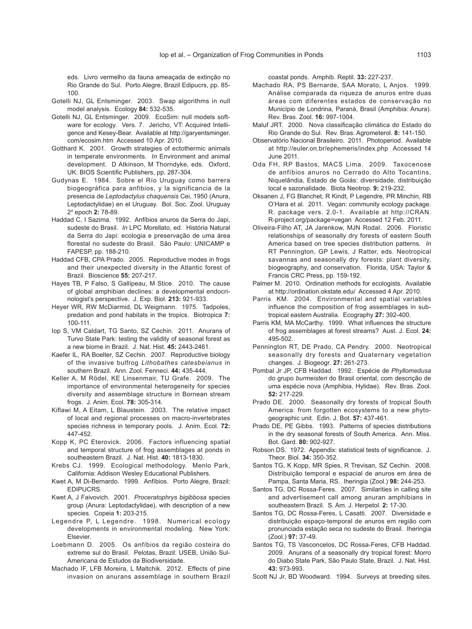eds. Livro vermelho da fauna ameaçada de extinção no Rio Grande do Sul. Porto Alegre, Brazil Edipucrs, pp. 85- 100.

- Gotelli NJ, GL Entsminger. 2003. Swap algorithms in null model analysis. Ecology **84:** 532-535.
- Gotelli NJ, GL Entsminger. 2009. EcoSim: null models software for ecology. Vers. 7. Jericho, VT: Acquired Intelligence and Kesey-Bear. Available at http://garyentsminger. com/ecosim.htm Accessed 10 Apr. 2010.
- Gotthard K. 2001. Growth strategies of ectothermic animals in temperate environments. *In* Environment and animal development. D Atkinson, M Thorndyke, eds. Oxford, UK: BIOS Scientific Publishers, pp. 287-304.
- Gudynas E. 1984. Sobre el Río Uruguay como barrera biogeográfica para anfibios, y la significancia de la presencia de *Leptodactylus chaquensis* Cei, 1950 (Anura, Leptodactylidae) en el Uruguay. Bol. Soc. Zool. Uruguay 2a epoch **2:** 78-89.
- Haddad C, I Sazima. 1992. Anfíbios anuros da Serra do Japi, sudeste do Brasil. *In* LPC Morellato, ed. História Natural da Serra do Japi: ecologia e preservação de uma área florestal no sudeste do Brasil. São Paulo: UNICAMP e FAPESP, pp. 188-210.
- Haddad CFB, CPA Prado. 2005. Reproductive modes in frogs and their unexpected diversity in the Atlantic forest of Brazil. Bioscience **55:** 207-217.
- Hayes TB, P Falso, S Gallipeau, M Stice. 2010. The cause of global amphibian declines: a developmental endocrinologist's perspective. J. Exp. Biol. **213:** 921-933.
- Heyer WR, RW McDiarmid, DL Weigmann. 1975. Tadpoles, predation and pond habitats in the tropics. Biotropica **7:** 100-111.
- Iop S, VM Caldart, TG Santo, SZ Cechin. 2011. Anurans of Turvo State Park: testing the validity of seasonal forest as a new biome in Brazil. J. Nat. Hist. **45:** 2443-2461.
- Kaefer IL, RA Boelter, SZ Cechin. 2007. Reproductive biology of the invasive bulfrog *Lithobathes catesbeianus* in southern Brazil. Ann. Zool. Fenneci. **44:** 435-444.
- Keller A, M Rödel, KE Linsenmair, TU Grafe. 2009. The importance of environmental heterogeneity for species diversity and assemblage structure in Bornean stream frogs. J. Anim. Ecol. **78:** 305-314.
- Kiflawi M, A Eitam, L Blaustein. 2003. The relative impact of local and regional processes on macro-invertebrates species richness in temporary pools. J. Anim. Ecol*.* **72:** 447-452.
- Kopp K, PC Eterovick. 2006. Factors influencing spatial and temporal structure of frog assemblages at ponds in southeastern Brazil. J. Nat. Hist. **40:** 1813-1830.
- Krebs CJ. 1999. Ecological methodology. Menlo Park, California: Addison Wesley Educational Publishers.
- Kwet A, M Di-Bernardo. 1999. Anfíbios. Porto Alegre, Brazil: EDIPUCRS.
- Kwet A, J Faivovich. 2001. *Proceratophrys bigibbosa* species group (Anura: Leptodactylidae), with description of a new species. Copeia **1:** 203-215.
- Legendre P, L Legendre. 1998. Numerical ecology developments in environmental modeling*.* New York: Elsevier.
- Loebmann D. 2005. Os anfíbios da região costeira do extreme sul do Brasil. Pelotas, Brazil: USEB, União Sul-Americana de Estudos da Biodiversidade.
- Machado IF, LFB Moreira, L Maltchik. 2012. Effects of pine invasion on anurans assemblage in southern Brazil

coastal ponds. Amphib. Reptil. **33:** 227-237.

- Machado RA, PS Bernarde, SAA Morato, L Anjos. 1999. Análise comparada da riqueza de anuros entre duas áreas com diferentes estados de conservação no Município de Londrina, Paraná, Brasil (Amphibia: Anura). Rev. Bras. Zool*.* **16:** 997-1004.
- Maluf JRT. 2000. Nova classificação climática do Estado do Rio Grande do Sul. Rev. Bras. Agrometerol*.* **8:** 141-150.
- Observatório Nacional Brasileiro. 2011. Photoperiod. Available at http://euler.on.br/ephemeris/index.php Accessed 14 June 2011.
- Oda FH, RP Bastos, MACS Lima. 2009. Taxocenose de anfíbios anuros no Cerrado do Alto Tocantins, Niquelândia, Estado de Goiás: diversidade, distribuição local e sazonalidade. Biota Neotrop*.* **9:** 219-232.
- Oksanen J, FG Blanchet, R Kindt, P Legendre, PR Minchin, RB O'Hara et al. 2011. Vegan: community ecology package. R. package vers. 2.0-1. Available at http://CRAN. R-project.org/package=vegan Accessed 12 Feb. 2011.
- Oliveira-Filho AT, JA Jarenkow, MJN Rodal. 2006. Floristic relationships of seasonally dry forests of eastern South America based on tree species distribution patterns. *In* RT Pennington, GP Lewis, J Ratter, eds. Neotropical savannas and seasonally dry forests: plant diversity, biogeography, and conservation. Florida, USA: Taylor & Francis CRC Press, pp. 159-192.
- Palmer M. 2010. Ordination methods for ecologists. Available at http://ordination.okstate.edu/ Accessed 4 Apr. 2010.
- Parris KM. 2004. Environmental and spatial variables influence the composition of frog assemblages in subtropical eastern Australia. Ecography **27:** 392-400.
- Parris KM, MA McCarthy. 1999. What influences the structure of frog assemblages at forest streams? Aust. J. Ecol. **24:** 495-502.
- Pennington RT, DE Prado, CA Pendry. 2000. Neotropical seasonally dry forests and Quaternary vegetation changes. J. Biogeogr*.* **27:** 261-273.
- Pombal Jr JP, CFB Haddad. 1992. Espécie de *Phyllomedusa*  do grupo *burmeisteri* do Brasil oriental, com descrição de uma espécie nova (Amphibia, Hylidae). Rev. Bras. Zool*.*  **52:** 217-229.
- Prado DE. 2000. Seasonally dry forests of tropical South America: from forgotten ecosystems to a new phytogeographic unit. Edin. J. Bot. **57:** 437-461.
- Prado DE, PE Gibbs. 1993. Patterns of species distributions in the dry seasonal forests of South America. Ann. Miss. Bot. Gard. **80:** 902-927.
- Robson DS. 1972. Appendix: statistical tests of significance. J. Theor. Biol. **34:** 350-352.
- Santos TG, K Kopp, MR Spies, R Trevisan, SZ Cechin. 2008. Distribuição temporal e espacial de anuros em área de Pampa, Santa Maria, RS. Iheringia (Zool.) **98:** 244-253.
- Santos TG, DC Rossa-Feres. 2007. Similarities in calling site and advertisement call among anuran amphibians in southeastern Brazil. S. Am. J. Herpetol. **2:** 17-30.
- Santos TG, DC Rossa-Feres, L Casatti. 2007. Diversidade e distribuição espaço-temporal de anuros em região com pronunciada estação seca no sudeste do Brasil. Iheringia (Zool.) **97:** 37-49.
- Santos TG, TS Vasconcelos, DC Rossa-Feres, CFB Haddad. 2009. Anurans of a seasonally dry tropical forest: Morro do Diabo State Park, São Paulo State, Brazil. J. Nat. Hist. **43:** 973-993.
- Scott NJ Jr, BD Woodward. 1994. Surveys at breeding sites.